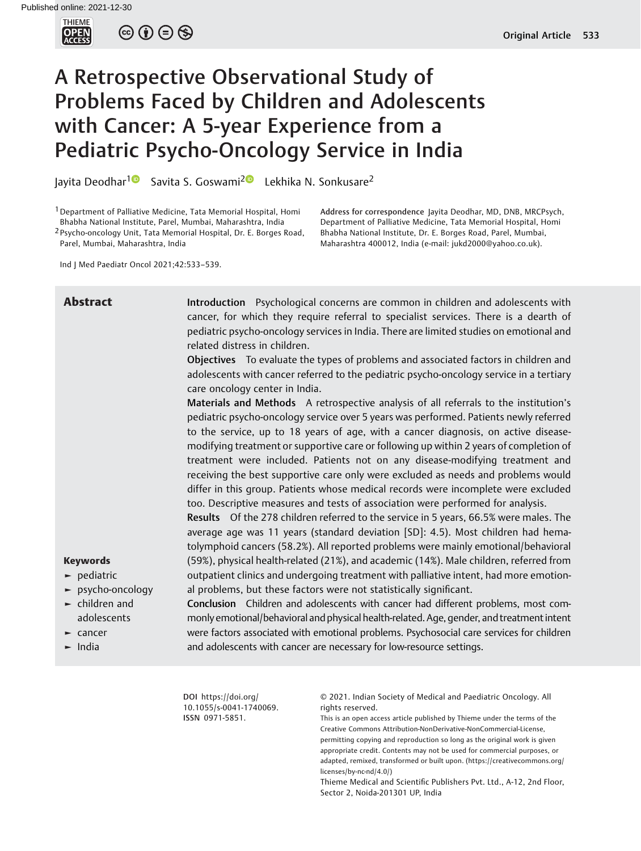

 $\circledcirc \circledcirc \circledcirc$ 

# A Retrospective Observational Study of Problems Faced by Children and Adolescents with Cancer: A 5-year Experience from a Pediatric Psycho-Oncology Service in India

Jayita Deodhar<sup>1</sup><sup>O</sup> Savita S. Goswami<sup>2</sup><sup>O</sup> Lekhika N. Sonkusare<sup>2</sup>

1Department of Palliative Medicine, Tata Memorial Hospital, Homi Bhabha National Institute, Parel, Mumbai, Maharashtra, India

<sup>2</sup> Psycho-oncology Unit, Tata Memorial Hospital, Dr. E. Borges Road, Parel, Mumbai, Maharashtra, India

Ind J Med Paediatr Oncol 2021;42:533–539.

# Abstract Introduction Psychological concerns are common in children and adolescents with cancer, for which they require referral to specialist services. There is a dearth of pediatric psycho-oncology services in India. There are limited studies on emotional and related distress in children.

Address for correspondence Jayita Deodhar, MD, DNB, MRCPsych, Department of Palliative Medicine, Tata Memorial Hospital, Homi Bhabha National Institute, Dr. E. Borges Road, Parel, Mumbai, Maharashtra 400012, India (e-mail: [jukd2000@yahoo.co.uk\)](mailto:jukd2000@yahoo.co.uk).

Objectives To evaluate the types of problems and associated factors in children and adolescents with cancer referred to the pediatric psycho-oncology service in a tertiary care oncology center in India.

Materials and Methods A retrospective analysis of all referrals to the institution's pediatric psycho-oncology service over 5 years was performed. Patients newly referred to the service, up to 18 years of age, with a cancer diagnosis, on active diseasemodifying treatment or supportive care or following up within 2 years of completion of treatment were included. Patients not on any disease-modifying treatment and receiving the best supportive care only were excluded as needs and problems would differ in this group. Patients whose medical records were incomplete were excluded too. Descriptive measures and tests of association were performed for analysis.

Results Of the 278 children referred to the service in 5 years, 66.5% were males. The average age was 11 years (standard deviation [SD]: 4.5). Most children had hematolymphoid cancers (58.2%). All reported problems were mainly emotional/behavioral (59%), physical health-related (21%), and academic (14%). Male children, referred from outpatient clinics and undergoing treatment with palliative intent, had more emotional problems, but these factors were not statistically significant.

# Keywords

- ► pediatric
- ► psycho-oncology
- $\blacktriangleright$  children and adolescents
- ► cancer
- ► India

Conclusion Children and adolescents with cancer had different problems, most commonly emotional/behavioral and physical health-related. Age, gender, and treatment intent were factors associated with emotional problems. Psychosocial care services for children and adolescents with cancer are necessary for low-resource settings.

DOI [https://doi.org/](https://doi.org/10.1055/s-0041-1740069) [10.1055/s-0041-1740069](https://doi.org/10.1055/s-0041-1740069). ISSN 0971-5851.

© 2021. Indian Society of Medical and Paediatric Oncology. All rights reserved.

This is an open access article published by Thieme under the terms of the Creative Commons Attribution-NonDerivative-NonCommercial-License, permitting copying and reproduction so long as the original work is given appropriate credit. Contents may not be used for commercial purposes, or adapted, remixed, transformed or built upon. (https://creativecommons.org/ licenses/by-nc-nd/4.0/)

Thieme Medical and Scientific Publishers Pvt. Ltd., A-12, 2nd Floor, Sector 2, Noida-201301 UP, India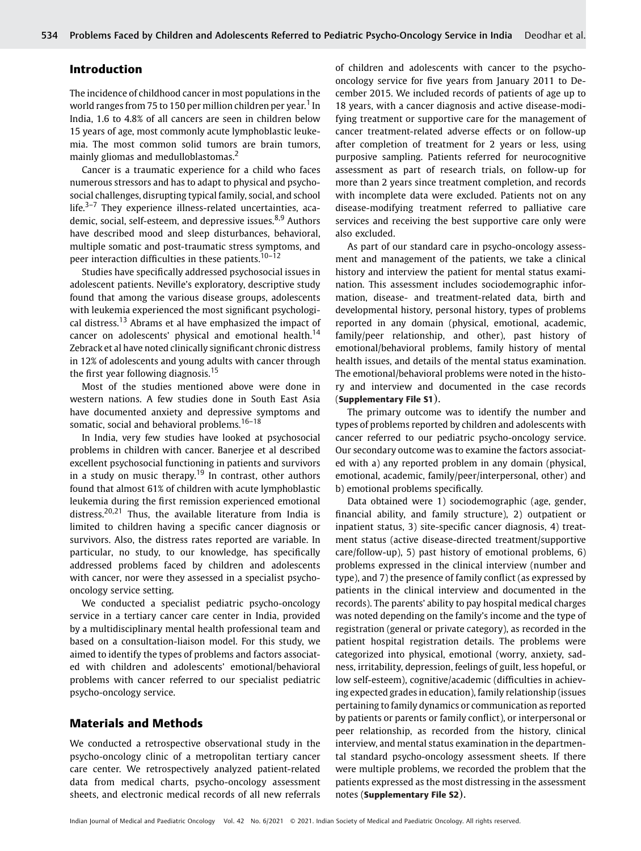### Introduction

The incidence of childhood cancer in most populations in the world ranges from 75 to 150 per million children per year.<sup>1</sup> In India, 1.6 to 4.8% of all cancers are seen in children below 15 years of age, most commonly acute lymphoblastic leukemia. The most common solid tumors are brain tumors, mainly gliomas and medulloblastomas.<sup>2</sup>

Cancer is a traumatic experience for a child who faces numerous stressors and has to adapt to physical and psychosocial challenges, disrupting typical family, social, and school life. $3-7$  They experience illness-related uncertainties, academic, social, self-esteem, and depressive issues.<sup>8,9</sup> Authors have described mood and sleep disturbances, behavioral, multiple somatic and post-traumatic stress symptoms, and peer interaction difficulties in these patients.<sup>10-12</sup>

Studies have specifically addressed psychosocial issues in adolescent patients. Neville's exploratory, descriptive study found that among the various disease groups, adolescents with leukemia experienced the most significant psychological distress.<sup>13</sup> Abrams et al have emphasized the impact of cancer on adolescents' physical and emotional health.<sup>14</sup> Zebrack et al have noted clinically significant chronic distress in 12% of adolescents and young adults with cancer through the first year following diagnosis.<sup>15</sup>

Most of the studies mentioned above were done in western nations. A few studies done in South East Asia have documented anxiety and depressive symptoms and somatic, social and behavioral problems.<sup>16-18</sup>

In India, very few studies have looked at psychosocial problems in children with cancer. Banerjee et al described excellent psychosocial functioning in patients and survivors in a study on music therapy.<sup>19</sup> In contrast, other authors found that almost 61% of children with acute lymphoblastic leukemia during the first remission experienced emotional distress.<sup>20,21</sup> Thus, the available literature from India is limited to children having a specific cancer diagnosis or survivors. Also, the distress rates reported are variable. In particular, no study, to our knowledge, has specifically addressed problems faced by children and adolescents with cancer, nor were they assessed in a specialist psychooncology service setting.

We conducted a specialist pediatric psycho-oncology service in a tertiary cancer care center in India, provided by a multidisciplinary mental health professional team and based on a consultation-liaison model. For this study, we aimed to identify the types of problems and factors associated with children and adolescents' emotional/behavioral problems with cancer referred to our specialist pediatric psycho-oncology service.

#### Materials and Methods

We conducted a retrospective observational study in the psycho-oncology clinic of a metropolitan tertiary cancer care center. We retrospectively analyzed patient-related data from medical charts, psycho-oncology assessment sheets, and electronic medical records of all new referrals of children and adolescents with cancer to the psychooncology service for five years from January 2011 to December 2015. We included records of patients of age up to 18 years, with a cancer diagnosis and active disease-modifying treatment or supportive care for the management of cancer treatment-related adverse effects or on follow-up after completion of treatment for 2 years or less, using purposive sampling. Patients referred for neurocognitive assessment as part of research trials, on follow-up for more than 2 years since treatment completion, and records with incomplete data were excluded. Patients not on any disease-modifying treatment referred to palliative care services and receiving the best supportive care only were also excluded.

As part of our standard care in psycho-oncology assessment and management of the patients, we take a clinical history and interview the patient for mental status examination. This assessment includes sociodemographic information, disease- and treatment-related data, birth and developmental history, personal history, types of problems reported in any domain (physical, emotional, academic, family/peer relationship, and other), past history of emotional/behavioral problems, family history of mental health issues, and details of the mental status examination. The emotional/behavioral problems were noted in the history and interview and documented in the case records (Supplementary File S1).

The primary outcome was to identify the number and types of problems reported by children and adolescents with cancer referred to our pediatric psycho-oncology service. Our secondary outcome was to examine the factors associated with a) any reported problem in any domain (physical, emotional, academic, family/peer/interpersonal, other) and b) emotional problems specifically.

Data obtained were 1) sociodemographic (age, gender, financial ability, and family structure), 2) outpatient or inpatient status, 3) site-specific cancer diagnosis, 4) treatment status (active disease-directed treatment/supportive care/follow-up), 5) past history of emotional problems, 6) problems expressed in the clinical interview (number and type), and 7) the presence of family conflict (as expressed by patients in the clinical interview and documented in the records). The parents' ability to pay hospital medical charges was noted depending on the family's income and the type of registration (general or private category), as recorded in the patient hospital registration details. The problems were categorized into physical, emotional (worry, anxiety, sadness, irritability, depression, feelings of guilt, less hopeful, or low self-esteem), cognitive/academic (difficulties in achieving expected grades in education), family relationship (issues pertaining to family dynamics or communication as reported by patients or parents or family conflict), or interpersonal or peer relationship, as recorded from the history, clinical interview, and mental status examination in the departmental standard psycho-oncology assessment sheets. If there were multiple problems, we recorded the problem that the patients expressed as the most distressing in the assessment notes (Supplementary File S2).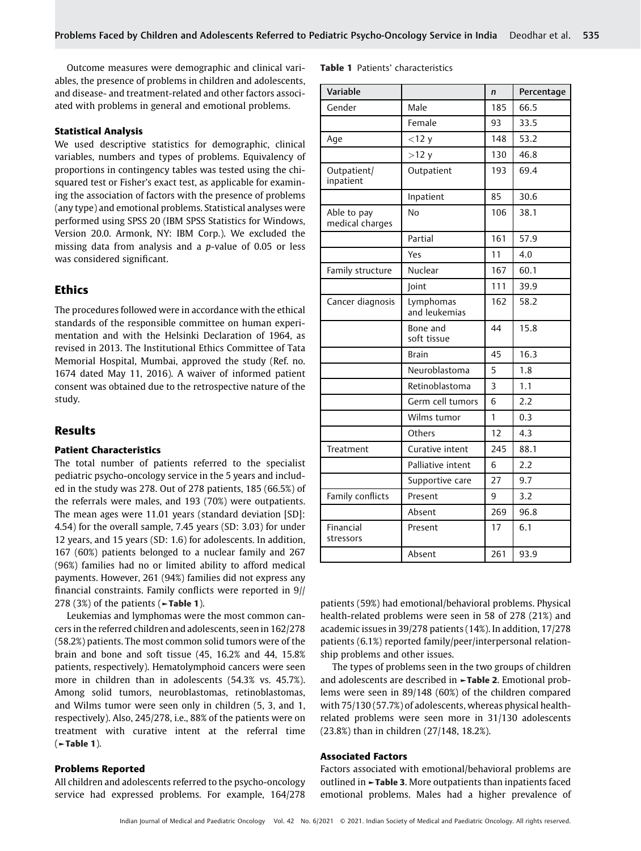Outcome measures were demographic and clinical variables, the presence of problems in children and adolescents, and disease- and treatment-related and other factors associated with problems in general and emotional problems.

#### Statistical Analysis

We used descriptive statistics for demographic, clinical variables, numbers and types of problems. Equivalency of proportions in contingency tables was tested using the chisquared test or Fisher's exact test, as applicable for examining the association of factors with the presence of problems (any type) and emotional problems. Statistical analyses were performed using SPSS 20 (IBM SPSS Statistics for Windows, Version 20.0. Armonk, NY: IBM Corp.). We excluded the missing data from analysis and a p-value of 0.05 or less was considered significant.

# **Ethics**

The procedures followed were in accordance with the ethical standards of the responsible committee on human experimentation and with the Helsinki Declaration of 1964, as revised in 2013. The Institutional Ethics Committee of Tata Memorial Hospital, Mumbai, approved the study (Ref. no. 1674 dated May 11, 2016). A waiver of informed patient consent was obtained due to the retrospective nature of the study.

## Results

#### Patient Characteristics

The total number of patients referred to the specialist pediatric psycho-oncology service in the 5 years and included in the study was 278. Out of 278 patients, 185 (66.5%) of the referrals were males, and 193 (70%) were outpatients. The mean ages were 11.01 years (standard deviation [SD]: 4.54) for the overall sample, 7.45 years (SD: 3.03) for under 12 years, and 15 years (SD: 1.6) for adolescents. In addition, 167 (60%) patients belonged to a nuclear family and 267 (96%) families had no or limited ability to afford medical payments. However, 261 (94%) families did not express any financial constraints. Family conflicts were reported in 9// 278 (3%) of the patients ( $\blacktriangleright$ Table 1).

Leukemias and lymphomas were the most common cancers in the referred children and adolescents, seen in 162/278 (58.2%) patients. The most common solid tumors were of the brain and bone and soft tissue (45, 16.2% and 44, 15.8% patients, respectively). Hematolymphoid cancers were seen more in children than in adolescents (54.3% vs. 45.7%). Among solid tumors, neuroblastomas, retinoblastomas, and Wilms tumor were seen only in children (5, 3, and 1, respectively). Also, 245/278, i.e., 88% of the patients were on treatment with curative intent at the referral time  $($   $\blacktriangleright$  Table 1).

#### Problems Reported

All children and adolescents referred to the psycho-oncology service had expressed problems. For example, 164/278

|  | <b>Table 1</b> Patients' characteristics |
|--|------------------------------------------|
|  |                                          |

| Variable                       |                                   | $\mathsf{n}$ | Percentage |
|--------------------------------|-----------------------------------|--------------|------------|
| Gender                         | Male                              | 185          | 66.5       |
|                                | Female                            | 93           | 33.5       |
| Age                            | $<$ 12 $y$                        | 148          | 53.2       |
|                                | >12 y                             | 130          | 46.8       |
| Outpatient/<br>inpatient       | Outpatient                        | 193          | 69.4       |
|                                | Inpatient                         | 85           | 30.6       |
| Able to pay<br>medical charges | N <sub>o</sub>                    | 106          | 38.1       |
|                                | Partial                           | 161          | 57.9       |
|                                | Yes                               | 11           | 4.0        |
| Family structure               | Nuclear                           | 167          | 60.1       |
|                                | <b>Joint</b>                      | 111          | 39.9       |
| Cancer diagnosis               | Lymphomas<br>162<br>and leukemias |              | 58.2       |
|                                | Bone and<br>soft tissue           | 44           | 15.8       |
|                                | <b>Brain</b>                      | 45           | 16.3       |
|                                | Neuroblastoma                     | 5            | 1.8        |
|                                | Retinoblastoma                    | 3            | 1.1        |
|                                | Germ cell tumors                  | 6            | 2.2        |
|                                | Wilms tumor                       | 1            | 0.3        |
|                                | Others                            | 12           | 4.3        |
| Treatment                      | Curative intent                   | 245          | 88.1       |
|                                | Palliative intent                 | 6            | 2.2        |
|                                | Supportive care                   | 27           | 9.7        |
| Family conflicts               | Present                           | 9            | 3.2        |
|                                | Absent                            | 269          | 96.8       |
| Financial<br>stressors         | Present                           | 17           | 6.1        |
|                                | Absent                            | 261          | 93.9       |

patients (59%) had emotional/behavioral problems. Physical health-related problems were seen in 58 of 278 (21%) and academic issues in 39/278 patients (14%). In addition, 17/278 patients (6.1%) reported family/peer/interpersonal relationship problems and other issues.

The types of problems seen in the two groups of children and adolescents are described in ►Table 2. Emotional problems were seen in 89/148 (60%) of the children compared with 75/130 (57.7%) of adolescents, whereas physical healthrelated problems were seen more in 31/130 adolescents (23.8%) than in children (27/148, 18.2%).

#### Associated Factors

Factors associated with emotional/behavioral problems are outlined in ►Table 3. More outpatients than inpatients faced emotional problems. Males had a higher prevalence of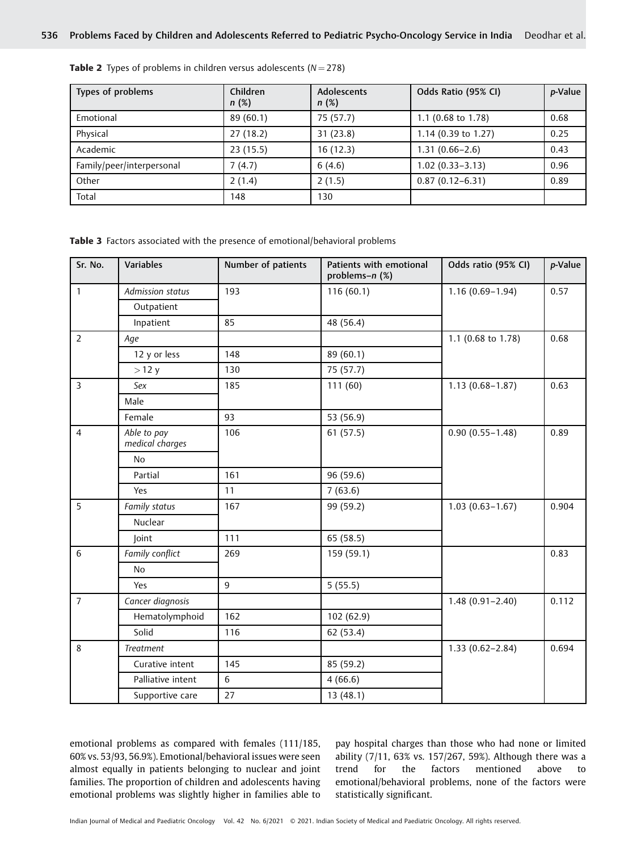| Types of problems         | Children<br>n(%) | Adolescents<br>n(%) | Odds Ratio (95% CI) | p-Value |
|---------------------------|------------------|---------------------|---------------------|---------|
| Emotional                 | 89(60.1)         | 75 (57.7)           | 1.1 (0.68 to 1.78)  | 0.68    |
| Physical                  | 27(18.2)         | 31(23.8)            | 1.14 (0.39 to 1.27) | 0.25    |
| Academic                  | 23(15.5)         | 16(12.3)            | $1.31(0.66 - 2.6)$  | 0.43    |
| Family/peer/interpersonal | 7(4.7)           | 6(4.6)              | $1.02(0.33 - 3.13)$ | 0.96    |
| Other                     | 2(1.4)           | 2(1.5)              | $0.87(0.12 - 6.31)$ | 0.89    |
| Total                     | 148              | 130                 |                     |         |

**Table 2** Types of problems in children versus adolescents ( $N = 278$ )

Table 3 Factors associated with the presence of emotional/behavioral problems

| Sr. No.        | Variables                      | Number of patients | Patients with emotional<br>problems-n (%) | Odds ratio (95% CI) | p-Value |
|----------------|--------------------------------|--------------------|-------------------------------------------|---------------------|---------|
| $\mathbf{1}$   | Admission status               | 193                | 116(60.1)                                 | $1.16(0.69 - 1.94)$ | 0.57    |
|                | Outpatient                     |                    |                                           |                     |         |
|                | Inpatient                      | 85                 | 48 (56.4)                                 |                     |         |
| $\overline{2}$ | Age                            |                    |                                           | 1.1 (0.68 to 1.78)  | 0.68    |
|                | 12 y or less                   | 148                | 89 (60.1)                                 |                     |         |
|                | >12 y                          | 130                | 75 (57.7)                                 |                     |         |
| $\overline{3}$ | Sex                            | 185                | 111(60)                                   | $1.13(0.68 - 1.87)$ | 0.63    |
|                | Male                           |                    |                                           |                     |         |
|                | Female                         | 93                 | 53 (56.9)                                 |                     |         |
| $\overline{4}$ | Able to pay<br>medical charges | 106                | 61(57.5)                                  | $0.90(0.55 - 1.48)$ | 0.89    |
|                | <b>No</b>                      |                    |                                           |                     |         |
|                | Partial                        | 161                | 96 (59.6)                                 |                     |         |
|                | Yes                            | 11                 | 7(63.6)                                   |                     |         |
| 5              | Family status                  | 167                | 99 (59.2)                                 | $1.03(0.63 - 1.67)$ | 0.904   |
|                | Nuclear                        |                    |                                           |                     |         |
|                | Joint                          | 111                | 65 (58.5)                                 |                     |         |
| 6              | Family conflict                | 269                | 159 (59.1)                                |                     | 0.83    |
|                | <b>No</b>                      |                    |                                           |                     |         |
|                | Yes                            | 9                  | 5(55.5)                                   |                     |         |
| $\overline{7}$ | Cancer diagnosis               |                    |                                           | $1.48(0.91 - 2.40)$ | 0.112   |
|                | Hematolymphoid                 | 162                | 102 (62.9)                                |                     |         |
|                | Solid                          | 116                | 62 (53.4)                                 |                     |         |
| 8              | Treatment                      |                    |                                           | $1.33(0.62 - 2.84)$ | 0.694   |
|                | Curative intent                | 145                | 85 (59.2)                                 |                     |         |
|                | Palliative intent              | 6                  | 4(66.6)                                   |                     |         |
|                | Supportive care                | 27                 | 13 (48.1)                                 |                     |         |

emotional problems as compared with females (111/185, 60% vs. 53/93, 56.9%). Emotional/behavioral issues were seen almost equally in patients belonging to nuclear and joint families. The proportion of children and adolescents having emotional problems was slightly higher in families able to

pay hospital charges than those who had none or limited ability (7/11, 63% vs. 157/267, 59%). Although there was a trend for the factors mentioned above to emotional/behavioral problems, none of the factors were statistically significant.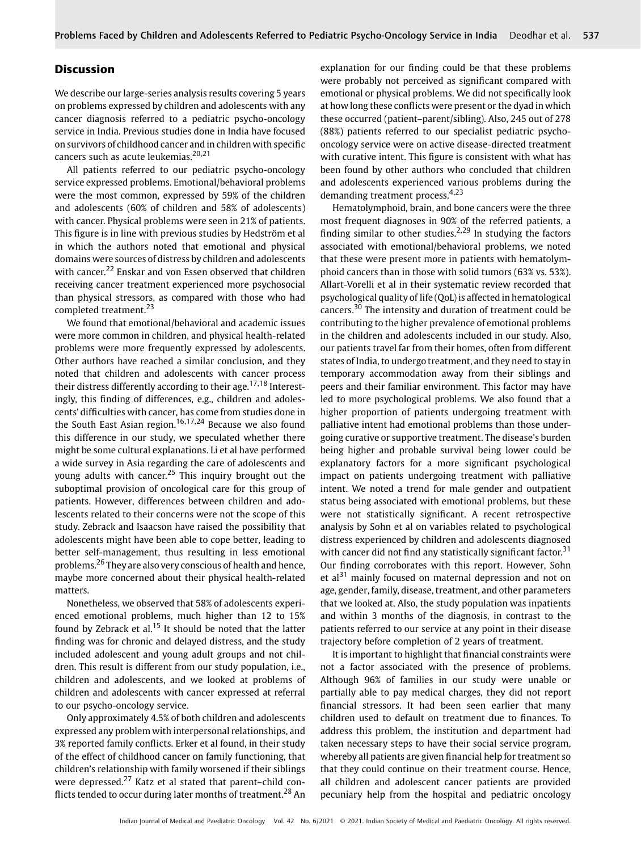### Discussion

We describe our large-series analysis results covering 5 years on problems expressed by children and adolescents with any cancer diagnosis referred to a pediatric psycho-oncology service in India. Previous studies done in India have focused on survivors of childhood cancer and in children with specific cancers such as acute leukemias.<sup>20,21</sup>

All patients referred to our pediatric psycho-oncology service expressed problems. Emotional/behavioral problems were the most common, expressed by 59% of the children and adolescents (60% of children and 58% of adolescents) with cancer. Physical problems were seen in 21% of patients. This figure is in line with previous studies by Hedström et al in which the authors noted that emotional and physical domains were sources of distress by children and adolescents with cancer.<sup>22</sup> Enskar and von Essen observed that children receiving cancer treatment experienced more psychosocial than physical stressors, as compared with those who had completed treatment.<sup>23</sup>

We found that emotional/behavioral and academic issues were more common in children, and physical health-related problems were more frequently expressed by adolescents. Other authors have reached a similar conclusion, and they noted that children and adolescents with cancer process their distress differently according to their age.<sup>17,18</sup> Interestingly, this finding of differences, e.g., children and adolescents' difficulties with cancer, has come from studies done in the South East Asian region.<sup>16,17,24</sup> Because we also found this difference in our study, we speculated whether there might be some cultural explanations. Li et al have performed a wide survey in Asia regarding the care of adolescents and young adults with cancer.<sup>25</sup> This inquiry brought out the suboptimal provision of oncological care for this group of patients. However, differences between children and adolescents related to their concerns were not the scope of this study. Zebrack and Isaacson have raised the possibility that adolescents might have been able to cope better, leading to better self-management, thus resulting in less emotional problems.<sup>26</sup> They are also very conscious of health and hence, maybe more concerned about their physical health-related matters.

Nonetheless, we observed that 58% of adolescents experienced emotional problems, much higher than 12 to 15% found by Zebrack et al.<sup>15</sup> It should be noted that the latter finding was for chronic and delayed distress, and the study included adolescent and young adult groups and not children. This result is different from our study population, i.e., children and adolescents, and we looked at problems of children and adolescents with cancer expressed at referral to our psycho-oncology service.

Only approximately 4.5% of both children and adolescents expressed any problem with interpersonal relationships, and 3% reported family conflicts. Erker et al found, in their study of the effect of childhood cancer on family functioning, that children's relationship with family worsened if their siblings were depressed.<sup>27</sup> Katz et al stated that parent–child conflicts tended to occur during later months of treatment.<sup>28</sup> An explanation for our finding could be that these problems were probably not perceived as significant compared with emotional or physical problems. We did not specifically look at how long these conflicts were present or the dyad in which these occurred (patient–parent/sibling). Also, 245 out of 278 (88%) patients referred to our specialist pediatric psychooncology service were on active disease-directed treatment with curative intent. This figure is consistent with what has been found by other authors who concluded that children and adolescents experienced various problems during the demanding treatment process.<sup>4,23</sup>

Hematolymphoid, brain, and bone cancers were the three most frequent diagnoses in 90% of the referred patients, a finding similar to other studies.<sup>2,29</sup> In studying the factors associated with emotional/behavioral problems, we noted that these were present more in patients with hematolymphoid cancers than in those with solid tumors (63% vs. 53%). Allart-Vorelli et al in their systematic review recorded that psychological quality of life (QoL) is affected in hematological cancers.<sup>30</sup> The intensity and duration of treatment could be contributing to the higher prevalence of emotional problems in the children and adolescents included in our study. Also, our patients travel far from their homes, often from different states of India, to undergo treatment, and they need to stay in temporary accommodation away from their siblings and peers and their familiar environment. This factor may have led to more psychological problems. We also found that a higher proportion of patients undergoing treatment with palliative intent had emotional problems than those undergoing curative or supportive treatment. The disease's burden being higher and probable survival being lower could be explanatory factors for a more significant psychological impact on patients undergoing treatment with palliative intent. We noted a trend for male gender and outpatient status being associated with emotional problems, but these were not statistically significant. A recent retrospective analysis by Sohn et al on variables related to psychological distress experienced by children and adolescents diagnosed with cancer did not find any statistically significant factor.<sup>31</sup> Our finding corroborates with this report. However, Sohn et al<sup>31</sup> mainly focused on maternal depression and not on age, gender, family, disease, treatment, and other parameters that we looked at. Also, the study population was inpatients and within 3 months of the diagnosis, in contrast to the patients referred to our service at any point in their disease trajectory before completion of 2 years of treatment.

It is important to highlight that financial constraints were not a factor associated with the presence of problems. Although 96% of families in our study were unable or partially able to pay medical charges, they did not report financial stressors. It had been seen earlier that many children used to default on treatment due to finances. To address this problem, the institution and department had taken necessary steps to have their social service program, whereby all patients are given financial help for treatment so that they could continue on their treatment course. Hence, all children and adolescent cancer patients are provided pecuniary help from the hospital and pediatric oncology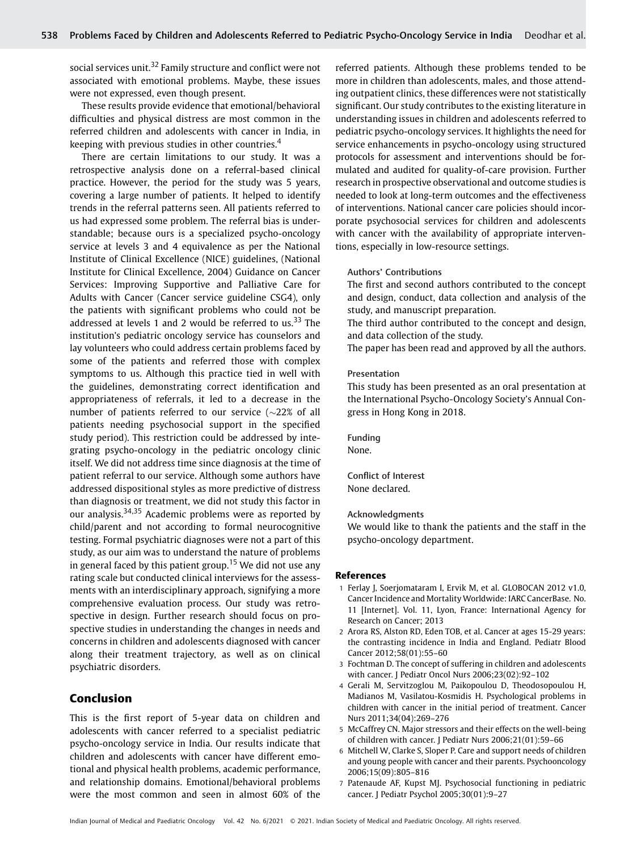social services unit.<sup>32</sup> Family structure and conflict were not associated with emotional problems. Maybe, these issues were not expressed, even though present.

These results provide evidence that emotional/behavioral difficulties and physical distress are most common in the referred children and adolescents with cancer in India, in keeping with previous studies in other countries.<sup>4</sup>

There are certain limitations to our study. It was a retrospective analysis done on a referral-based clinical practice. However, the period for the study was 5 years, covering a large number of patients. It helped to identify trends in the referral patterns seen. All patients referred to us had expressed some problem. The referral bias is understandable; because ours is a specialized psycho-oncology service at levels 3 and 4 equivalence as per the National Institute of Clinical Excellence (NICE) guidelines, (National Institute for Clinical Excellence, 2004) Guidance on Cancer Services: Improving Supportive and Palliative Care for Adults with Cancer (Cancer service guideline CSG4), only the patients with significant problems who could not be addressed at levels 1 and 2 would be referred to us.<sup>33</sup> The institution's pediatric oncology service has counselors and lay volunteers who could address certain problems faced by some of the patients and referred those with complex symptoms to us. Although this practice tied in well with the guidelines, demonstrating correct identification and appropriateness of referrals, it led to a decrease in the number of patients referred to our service ( $\sim$ 22% of all patients needing psychosocial support in the specified study period). This restriction could be addressed by integrating psycho-oncology in the pediatric oncology clinic itself. We did not address time since diagnosis at the time of patient referral to our service. Although some authors have addressed dispositional styles as more predictive of distress than diagnosis or treatment, we did not study this factor in our analysis.<sup>34,35</sup> Academic problems were as reported by child/parent and not according to formal neurocognitive testing. Formal psychiatric diagnoses were not a part of this study, as our aim was to understand the nature of problems in general faced by this patient group.<sup>15</sup> We did not use any rating scale but conducted clinical interviews for the assessments with an interdisciplinary approach, signifying a more comprehensive evaluation process. Our study was retrospective in design. Further research should focus on prospective studies in understanding the changes in needs and concerns in children and adolescents diagnosed with cancer along their treatment trajectory, as well as on clinical psychiatric disorders.

#### Conclusion

This is the first report of 5-year data on children and adolescents with cancer referred to a specialist pediatric psycho-oncology service in India. Our results indicate that children and adolescents with cancer have different emotional and physical health problems, academic performance, and relationship domains. Emotional/behavioral problems were the most common and seen in almost 60% of the

referred patients. Although these problems tended to be more in children than adolescents, males, and those attending outpatient clinics, these differences were not statistically significant. Our study contributes to the existing literature in understanding issues in children and adolescents referred to pediatric psycho-oncology services. It highlights the need for service enhancements in psycho-oncology using structured protocols for assessment and interventions should be formulated and audited for quality-of-care provision. Further research in prospective observational and outcome studies is needed to look at long-term outcomes and the effectiveness of interventions. National cancer care policies should incorporate psychosocial services for children and adolescents with cancer with the availability of appropriate interventions, especially in low-resource settings.

#### Authors' Contributions

The first and second authors contributed to the concept and design, conduct, data collection and analysis of the study, and manuscript preparation.

The third author contributed to the concept and design, and data collection of the study.

The paper has been read and approved by all the authors.

#### Presentation

This study has been presented as an oral presentation at the International Psycho-Oncology Society's Annual Congress in Hong Kong in 2018.

Funding None.

Conflict of Interest None declared.

#### Acknowledgments

We would like to thank the patients and the staff in the psycho-oncology department.

#### References

- 1 Ferlay J, Soerjomataram I, Ervik M, et al. GLOBOCAN 2012 v1.0, Cancer Incidence and Mortality Worldwide: IARC CancerBase. No. 11 [Internet]. Vol. 11, Lyon, France: International Agency for Research on Cancer; 2013
- 2 Arora RS, Alston RD, Eden TOB, et al. Cancer at ages 15-29 years: the contrasting incidence in India and England. Pediatr Blood Cancer 2012;58(01):55–60
- 3 Fochtman D. The concept of suffering in children and adolescents with cancer. J Pediatr Oncol Nurs 2006;23(02):92–102
- 4 Gerali M, Servitzoglou M, Paikopoulou D, Theodosopoulou H, Madianos M, Vasilatou-Kosmidis H. Psychological problems in children with cancer in the initial period of treatment. Cancer Nurs 2011;34(04):269–276
- 5 McCaffrey CN. Major stressors and their effects on the well-being of children with cancer. J Pediatr Nurs 2006;21(01):59–66
- 6 Mitchell W, Clarke S, Sloper P. Care and support needs of children and young people with cancer and their parents. Psychooncology 2006;15(09):805–816
- 7 Patenaude AF, Kupst MJ. Psychosocial functioning in pediatric cancer. J Pediatr Psychol 2005;30(01):9–27